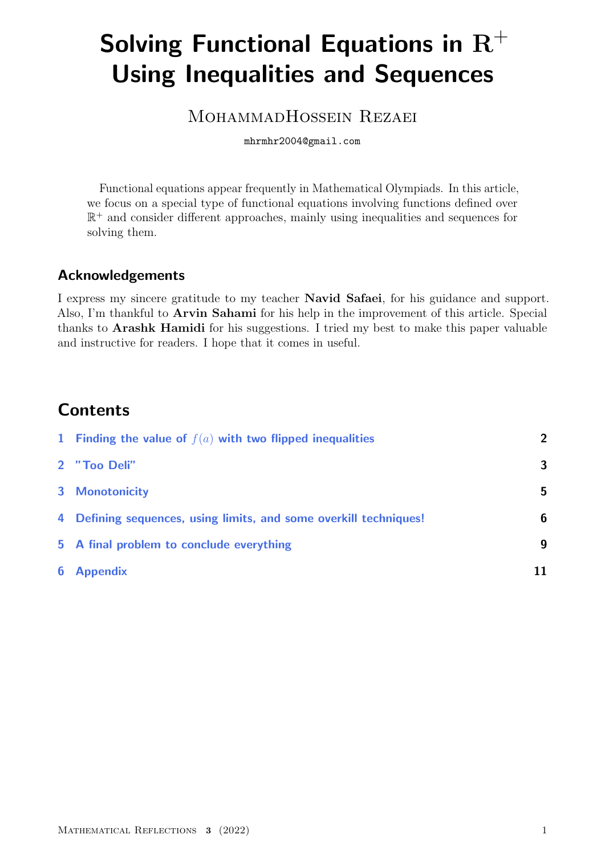# Solving Functional Equations in  $R^+$ Using Inequalities and Sequences

### MOHAMMADHOSSEIN REZAEI

mhrmhr2004@gmail.com

Functional equations appear frequently in Mathematical Olympiads. In this article, we focus on a special type of functional equations involving functions defined over R <sup>+</sup> and consider different approaches, mainly using inequalities and sequences for solving them.

### Acknowledgements

I express my sincere gratitude to my teacher Navid Safaei, for his guidance and support. Also, I'm thankful to Arvin Sahami for his help in the improvement of this article. Special thanks to Arashk Hamidi for his suggestions. I tried my best to make this paper valuable and instructive for readers. I hope that it comes in useful.

# **Contents**

| 1 Finding the value of $f(a)$ with two flipped inequalities       | $\overline{2}$ |
|-------------------------------------------------------------------|----------------|
| 2 "Too Deli"                                                      | 3              |
| <b>3</b> Monotonicity                                             | 5              |
| 4 Defining sequences, using limits, and some overkill techniques! | 6              |
| 5 A final problem to conclude everything                          | 9              |
| <b>6</b> Appendix                                                 | 11             |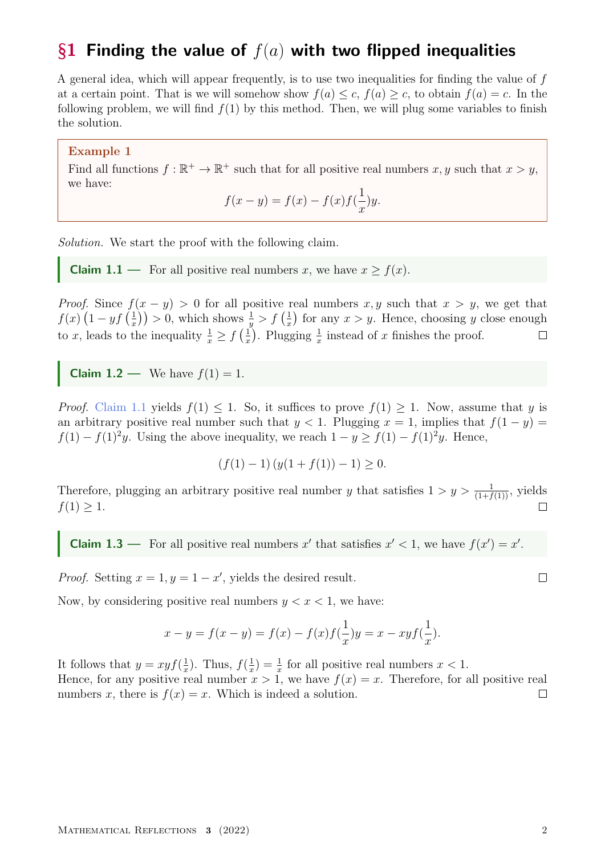### <span id="page-1-0"></span>§1 Finding the value of  $f(a)$  with two flipped inequalities

A general idea, which will appear frequently, is to use two inequalities for finding the value of f at a certain point. That is we will somehow show  $f(a) \leq c$ ,  $f(a) \geq c$ , to obtain  $f(a) = c$ . In the following problem, we will find  $f(1)$  by this method. Then, we will plug some variables to finish the solution.

Example 1

Find all functions  $f : \mathbb{R}^+ \to \mathbb{R}^+$  such that for all positive real numbers  $x, y$  such that  $x > y$ , we have:

$$
f(x - y) = f(x) - f(x)f(\frac{1}{x})y.
$$

Solution. We start the proof with the following claim.

<span id="page-1-1"></span>**Claim 1.1** — For all positive real numbers x, we have  $x \ge f(x)$ .

*Proof.* Since  $f(x - y) > 0$  for all positive real numbers x, y such that  $x > y$ , we get that  $f(x)$   $\left(1-yf\right)\frac{1}{x}$  $(\frac{1}{x})$  > 0, which shows  $\frac{1}{y}$  >  $f(\frac{1}{x})$  $\frac{1}{x}$  for any  $x > y$ . Hence, choosing y close enough to x, leads to the inequality  $\frac{1}{x} \ge f\left(\frac{1}{x}\right)$  $\frac{1}{x}$ ). Plugging  $\frac{1}{x}$  instead of x finishes the proof.  $\Box$ 

**Claim 1.2** — We have  $f(1) = 1$ .

*Proof.* [Claim 1.1](#page-1-1) yields  $f(1) \leq 1$ . So, it suffices to prove  $f(1) \geq 1$ . Now, assume that y is an arbitrary positive real number such that  $y < 1$ . Plugging  $x = 1$ , implies that  $f(1 - y) =$  $f(1) - f(1)^2y$ . Using the above inequality, we reach  $1 - y \ge f(1) - f(1)^2y$ . Hence,

$$
(f(1) - 1) (y(1 + f(1)) - 1) \ge 0.
$$

Therefore, plugging an arbitrary positive real number y that satisfies  $1 > y > \frac{1}{(1+f(1))}$ , yields  $f(1) \geq 1$ .  $\Box$ 

**Claim 1.3** — For all positive real numbers x' that satisfies  $x' < 1$ , we have  $f(x') = x'$ .

*Proof.* Setting  $x = 1, y = 1 - x'$ , yields the desired result.

Now, by considering positive real numbers  $y < x < 1$ , we have:

$$
x - y = f(x - y) = f(x) - f(x)f(\frac{1}{x})y = x - xyf(\frac{1}{x}).
$$

It follows that  $y = xyf(\frac{1}{x})$  $(\frac{1}{x})$ . Thus,  $f(\frac{1}{x})$  $(\frac{1}{x}) = \frac{1}{x}$  for all positive real numbers  $x < 1$ .

Hence, for any positive real number  $x > 1$ , we have  $f(x) = x$ . Therefore, for all positive real numbers x, there is  $f(x) = x$ . Which is indeed a solution.  $\Box$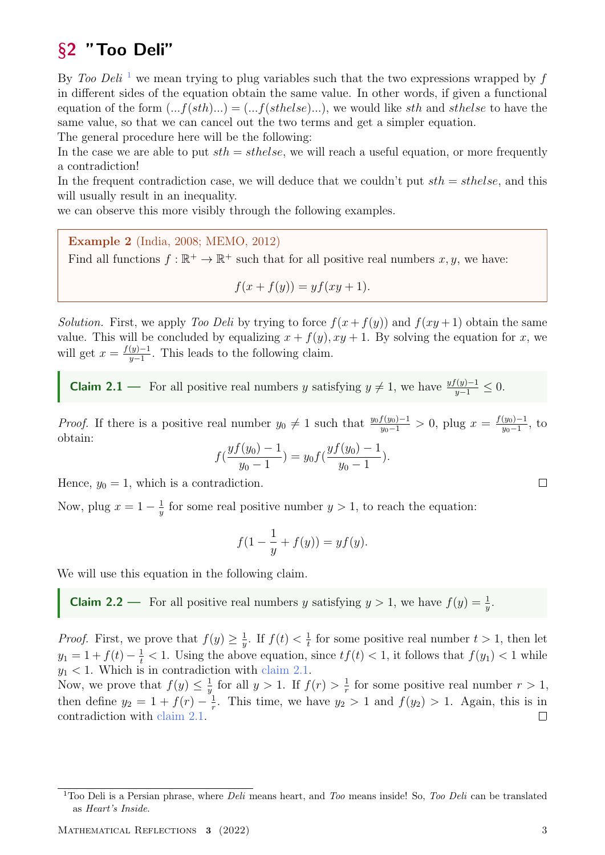# <span id="page-2-0"></span>§2 "Too Deli"

By Too Deli<sup>[1](#page-2-1)</sup> we mean trying to plug variables such that the two expressions wrapped by f in different sides of the equation obtain the same value. In other words, if given a functional equation of the form  $(...f(sth)...) = (...f(sthelse)...)$ , we would like sth and sthelse to have the same value, so that we can cancel out the two terms and get a simpler equation.

The general procedure here will be the following:

In the case we are able to put  $sth = sthelse$ , we will reach a useful equation, or more frequently a contradiction!

In the frequent contradiction case, we will deduce that we couldn't put  $sth = sthelse$ , and this will usually result in an inequality.

we can observe this more visibly through the following examples.

Example 2 (India, 2008; MEMO, 2012)

Find all functions  $f : \mathbb{R}^+ \to \mathbb{R}^+$  such that for all positive real numbers  $x, y$ , we have:

$$
f(x + f(y)) = yf(xy + 1).
$$

Solution. First, we apply Too Deli by trying to force  $f(x + f(y))$  and  $f(xy + 1)$  obtain the same value. This will be concluded by equalizing  $x + f(y)$ ,  $xy + 1$ . By solving the equation for x, we will get  $x = \frac{f(y)-1}{y-1}$  $\frac{(y)-1}{y-1}$ . This leads to the following claim.

<span id="page-2-2"></span>**Claim 2.1** — For all positive real numbers y satisfying  $y \neq 1$ , we have  $\frac{yf(y)-1}{y-1} \leq 0$ .

*Proof.* If there is a positive real number  $y_0 \neq 1$  such that  $\frac{y_0 f(y_0) - 1}{y_0 - 1} > 0$ , plug  $x = \frac{f(y_0) - 1}{y_0 - 1}$  $\frac{(y_0)-1}{y_0-1}$ , to obtain:

$$
f(\frac{yf(y_0)-1}{y_0-1})=y_0f(\frac{yf(y_0)-1}{y_0-1}).
$$

Hence,  $y_0 = 1$ , which is a contradiction.

Now, plug  $x = 1 - \frac{1}{y}$  $\frac{1}{y}$  for some real positive number  $y > 1$ , to reach the equation:

$$
f(1 - \frac{1}{y} + f(y)) = yf(y).
$$

We will use this equation in the following claim.

**Claim 2.2** — For all positive real numbers y satisfying  $y > 1$ , we have  $f(y) = \frac{1}{y}$ .

*Proof.* First, we prove that  $f(y) \geq \frac{1}{y}$  $rac{1}{y}$ . If  $f(t) < \frac{1}{t}$  $\frac{1}{t}$  for some positive real number  $t > 1$ , then let  $y_1 = 1 + f(t) - \frac{1}{t} < 1$ . Using the above equation, since  $tf(t) < 1$ , it follows that  $f(y_1) < 1$  while  $y_1$  < 1. Which is in contradiction with [claim 2.1.](#page-2-2)

Now, we prove that  $f(y) \leq \frac{1}{y}$  $\frac{1}{y}$  for all  $y > 1$ . If  $f(r) > \frac{1}{r}$  $\frac{1}{r}$  for some positive real number  $r > 1$ , then define  $y_2 = 1 + f(r) - \frac{1}{r}$  $\frac{1}{r}$ . This time, we have  $y_2 > 1$  and  $f(y_2) > 1$ . Again, this is in contradiction with [claim 2.1.](#page-2-2)  $\Box$ 

<span id="page-2-1"></span><sup>&</sup>lt;sup>1</sup>Too Deli is a Persian phrase, where *Deli* means heart, and *Too* means inside! So, *Too Deli* can be translated as Heart's Inside.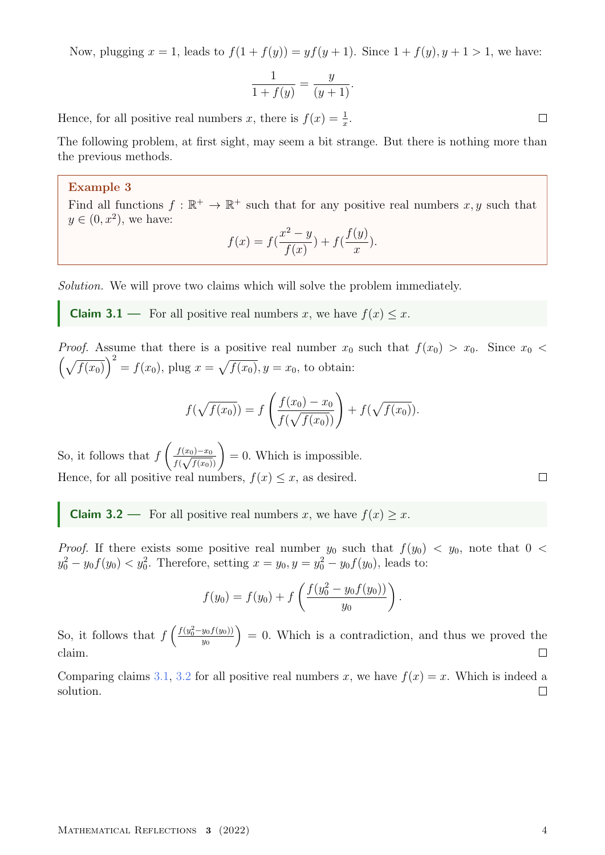Now, plugging  $x = 1$ , leads to  $f(1 + f(y)) = yf(y + 1)$ . Since  $1 + f(y)$ ,  $y + 1 > 1$ , we have:

$$
\frac{1}{1+f(y)} = \frac{y}{(y+1)}.
$$

Hence, for all positive real numbers x, there is  $f(x) = \frac{1}{x}$ .

The following problem, at first sight, may seem a bit strange. But there is nothing more than the previous methods.

#### Example 3

Find all functions  $f : \mathbb{R}^+ \to \mathbb{R}^+$  such that for any positive real numbers  $x, y$  such that  $y \in (0, x^2)$ , we have:

$$
f(x) = f(\frac{x^2 - y}{f(x)}) + f(\frac{f(y)}{x}).
$$

Solution. We will prove two claims which will solve the problem immediately.

<span id="page-3-0"></span>**Claim 3.1** — For all positive real numbers x, we have  $f(x) \leq x$ .

*Proof.* Assume that there is a positive real number  $x_0$  such that  $f(x_0) > x_0$ . Since  $x_0 <$  $\left(\sqrt{f(x_0)}\right)^2 = f(x_0)$ , plug  $x = \sqrt{f(x_0)}$ ,  $y = x_0$ , to obtain:

$$
f(\sqrt{f(x_0)}) = f\left(\frac{f(x_0) - x_0}{f(\sqrt{f(x_0)})}\right) + f(\sqrt{f(x_0)}).
$$

So, it follows that  $f$  $\int f(x_0)-x_0$  $\frac{f(x_0)-x_0}{f(\sqrt{f(x_0)})}$  = 0. Which is impossible. Hence, for all positive real numbers,  $f(x) \leq x$ , as desired.

<span id="page-3-1"></span>**Claim 3.2** — For all positive real numbers x, we have  $f(x) \geq x$ .

*Proof.* If there exists some positive real number  $y_0$  such that  $f(y_0) < y_0$ , note that  $0 <$  $y_0^2 - y_0 f(y_0) < y_0^2$ . Therefore, setting  $x = y_0, y = y_0^2 - y_0 f(y_0)$ , leads to:

$$
f(y_0) = f(y_0) + f\left(\frac{f(y_0^2 - y_0 f(y_0))}{y_0}\right).
$$

So, it follows that  $f\left(\frac{f(y_0^2-y_0f(y_0))}{y_0}\right)$  $= 0$ . Which is a contradiction, and thus we proved the  $y_0$ claim.  $\Box$ 

Comparing claims [3.1,](#page-3-0) [3.2](#page-3-1) for all positive real numbers x, we have  $f(x) = x$ . Which is indeed a solution.  $\Box$ 

 $\Box$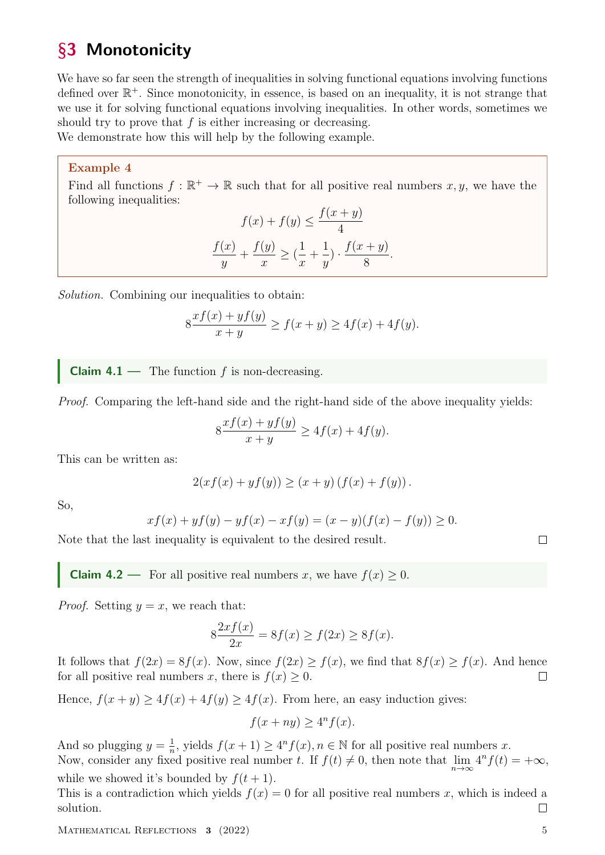# <span id="page-4-0"></span>§3 Monotonicity

We have so far seen the strength of inequalities in solving functional equations involving functions defined over  $\mathbb{R}^+$ . Since monotonicity, in essence, is based on an inequality, it is not strange that we use it for solving functional equations involving inequalities. In other words, sometimes we should try to prove that  $f$  is either increasing or decreasing.

We demonstrate how this will help by the following example.

#### Example 4

Find all functions  $f : \mathbb{R}^+ \to \mathbb{R}$  such that for all positive real numbers  $x, y$ , we have the following inequalities:

$$
f(x) + f(y) \le \frac{f(x+y)}{4}
$$

$$
\frac{f(x)}{y} + \frac{f(y)}{x} \ge (\frac{1}{x} + \frac{1}{y}) \cdot \frac{f(x+y)}{8}
$$

.

Solution. Combining our inequalities to obtain:

$$
8 \frac{x f(x) + y f(y)}{x + y} \ge f(x + y) \ge 4f(x) + 4f(y).
$$

**Claim 4.1** — The function  $f$  is non-decreasing.

Proof. Comparing the left-hand side and the right-hand side of the above inequality yields:

$$
8 \frac{x f(x) + y f(y)}{x + y} \ge 4 f(x) + 4 f(y).
$$

This can be written as:

$$
2(xf(x) + yf(y)) \ge (x + y) (f(x) + f(y)).
$$

So,

$$
xf(x) + yf(y) - yf(x) - xf(y) = (x - y)(f(x) - f(y)) \ge 0.
$$

Note that the last inequality is equivalent to the desired result.

**Claim 4.2** — For all positive real numbers x, we have  $f(x) \ge 0$ .

*Proof.* Setting  $y = x$ , we reach that:

$$
8\frac{2xf(x)}{2x} = 8f(x) \ge f(2x) \ge 8f(x).
$$

It follows that  $f(2x) = 8f(x)$ . Now, since  $f(2x) \ge f(x)$ , we find that  $8f(x) \ge f(x)$ . And hence for all positive real numbers x, there is  $f(x) \geq 0$ .  $\Box$ 

Hence,  $f(x + y) \ge 4f(x) + 4f(y) \ge 4f(x)$ . From here, an easy induction gives:

$$
f(x+ny) \ge 4^n f(x).
$$

And so plugging  $y = \frac{1}{n}$  $\frac{1}{n}$ , yields  $f(x+1) \geq 4^n f(x)$ ,  $n \in \mathbb{N}$  for all positive real numbers x. Now, consider any fixed positive real number t. If  $f(t) \neq 0$ , then note that  $\lim_{n \to \infty} 4^n f(t) = +\infty$ ,

while we showed it's bounded by  $f(t + 1)$ .

This is a contradiction which yields  $f(x) = 0$  for all positive real numbers x, which is indeed a solution.  $\Box$ 

MATHEMATICAL REFLECTIONS 3 (2022) 5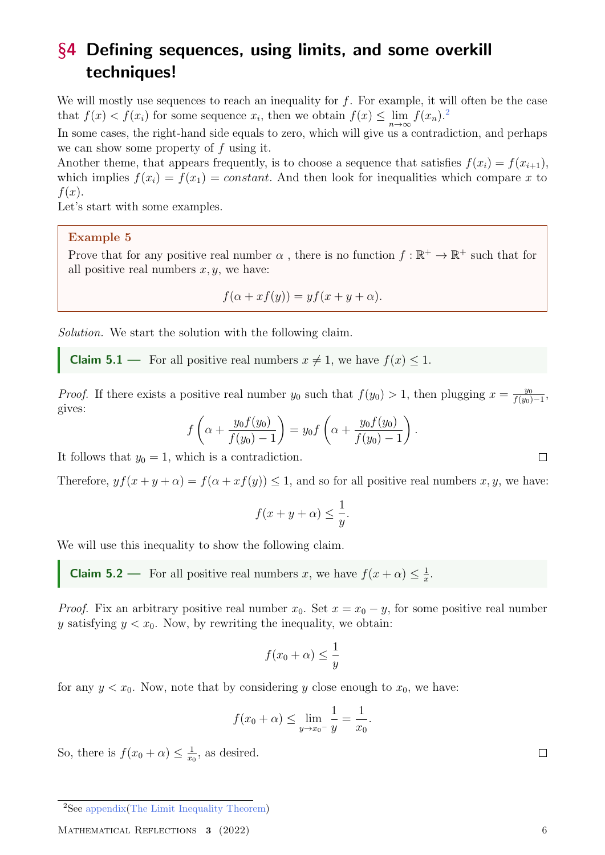# <span id="page-5-0"></span>§4 Defining sequences, using limits, and some overkill techniques!

We will mostly use sequences to reach an inequality for  $f$ . For example, it will often be the case that  $f(x) < f(x_i)$  for some sequence  $x_i$ , then we obtain  $f(x) \le \lim_{n \to \infty} f(x_n)$ .<sup>[2](#page-5-1)</sup>

In some cases, the right-hand side equals to zero, which will give us a contradiction, and perhaps we can show some property of  $f$  using it.

Another theme, that appears frequently, is to choose a sequence that satisfies  $f(x_i) = f(x_{i+1}),$ which implies  $f(x_i) = f(x_1) = constant$ . And then look for inequalities which compare x to  $f(x)$ .

Let's start with some examples.

#### Example 5

Prove that for any positive real number  $\alpha$ , there is no function  $f : \mathbb{R}^+ \to \mathbb{R}^+$  such that for all positive real numbers  $x, y$ , we have:

$$
f(\alpha + xf(y)) = yf(x + y + \alpha).
$$

Solution. We start the solution with the following claim.

**Claim 5.1** — For all positive real numbers  $x \neq 1$ , we have  $f(x) \leq 1$ .

*Proof.* If there exists a positive real number  $y_0$  such that  $f(y_0) > 1$ , then plugging  $x = \frac{y_0}{f(y_0)}$  $\frac{y_0}{f(y_0)-1},$ gives:

$$
f\left(\alpha + \frac{y_0 f(y_0)}{f(y_0) - 1}\right) = y_0 f\left(\alpha + \frac{y_0 f(y_0)}{f(y_0) - 1}\right)
$$

.

It follows that  $y_0 = 1$ , which is a contradiction.

Therefore,  $y f(x + y + \alpha) = f(\alpha + x f(y)) \leq 1$ , and so for all positive real numbers x, y, we have:

$$
f(x + y + \alpha) \le \frac{1}{y}.
$$

We will use this inequality to show the following claim.

**Claim 5.2** — For all positive real numbers x, we have  $f(x + \alpha) \leq \frac{1}{x}$  $\frac{1}{x}$ .

*Proof.* Fix an arbitrary positive real number  $x_0$ . Set  $x = x_0 - y$ , for some positive real number y satisfying  $y < x_0$ . Now, by rewriting the inequality, we obtain:

$$
f(x_0 + \alpha) \le \frac{1}{y}
$$

for any  $y < x_0$ . Now, note that by considering y close enough to  $x_0$ , we have:

$$
f(x_0 + \alpha) \le \lim_{y \to x_0^-} \frac{1}{y} = \frac{1}{x_0}.
$$

So, there is  $f(x_0 + \alpha) \leq \frac{1}{x_0}$  $\frac{1}{x_0}$ , as desired.

<span id="page-5-1"></span><sup>2</sup>See [appendix](#page-10-1)[\(The Limit Inequality Theorem\)](#page-10-2)

MATHEMATICAL REFLECTIONS 3 (2022) 6

 $\Box$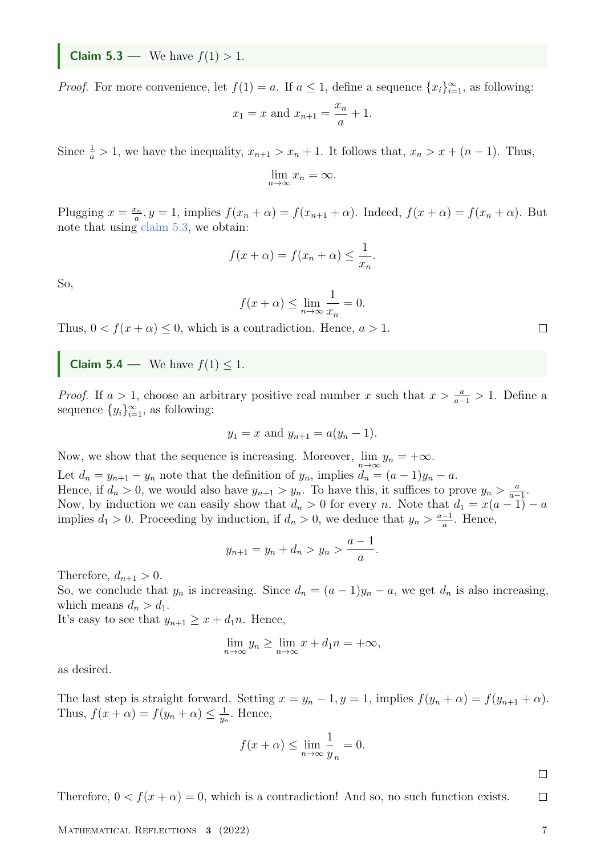<span id="page-6-0"></span>**Claim 5.3** — We have  $f(1) > 1$ .

*Proof.* For more convenience, let  $f(1) = a$ . If  $a \le 1$ , define a sequence  $\{x_i\}_{i=1}^{\infty}$ , as following:

$$
x_1 = x
$$
 and  $x_{n+1} = \frac{x_n}{a} + 1$ .

Since  $\frac{1}{a} > 1$ , we have the inequality,  $x_{n+1} > x_n + 1$ . It follows that,  $x_n > x + (n-1)$ . Thus,

$$
\lim_{n \to \infty} x_n = \infty.
$$

Plugging  $x = \frac{x_n}{a}$  $a_n^{\epsilon_n}$ ,  $y = 1$ , implies  $f(x_n + \alpha) = f(x_{n+1} + \alpha)$ . Indeed,  $f(x + \alpha) = f(x_n + \alpha)$ . But note that using [claim 5.3,](#page-6-0) we obtain:

$$
f(x + \alpha) = f(x_n + \alpha) \le \frac{1}{x_n}.
$$

So,

$$
f(x + \alpha) \le \lim_{n \to \infty} \frac{1}{x_n} = 0.
$$

Thus,  $0 < f(x + \alpha) \leq 0$ , which is a contradiction. Hence,  $a > 1$ .

**Claim 5.4** — We have  $f(1) \leq 1$ .

*Proof.* If  $a > 1$ , choose an arbitrary positive real number x such that  $x > \frac{a}{a-1} > 1$ . Define a sequence  $\{y_i\}_{i=1}^{\infty}$ , as following:

$$
y_1 = x
$$
 and  $y_{n+1} = a(y_n - 1)$ .

Now, we show that the sequence is increasing. Moreover,  $\lim_{n\to\infty} y_n = +\infty$ . Let  $d_n = y_{n+1} - y_n$  note that the definition of  $y_n$ , implies  $d_n = (a-1)y_n - a$ . Hence, if  $d_n > 0$ , we would also have  $y_{n+1} > y_n$ . To have this, it suffices to prove  $y_n > \frac{a}{a_n}$  $\frac{a}{a-1}$ . Now, by induction we can easily show that  $d_n > 0$  for every n. Note that  $d_1 = x(a-1) - a$ implies  $d_1 > 0$ . Proceeding by induction, if  $d_n > 0$ , we deduce that  $y_n > \frac{a-1}{a}$  $\frac{-1}{a}$ . Hence,

$$
y_{n+1} = y_n + d_n > y_n > \frac{a-1}{a}
$$

.

Therefore,  $d_{n+1} > 0$ .

So, we conclude that  $y_n$  is increasing. Since  $d_n = (a-1)y_n - a$ , we get  $d_n$  is also increasing, which means  $d_n > d_1$ .

It's easy to see that  $y_{n+1} \geq x + d_1 n$ . Hence,

$$
\lim_{n \to \infty} y_n \ge \lim_{n \to \infty} x + d_1 n = +\infty,
$$

as desired.

The last step is straight forward. Setting  $x = y_n - 1$ ,  $y = 1$ , implies  $f(y_n + \alpha) = f(y_{n+1} + \alpha)$ . Thus,  $f(x + \alpha) = f(y_n + \alpha) \leq \frac{1}{y_n}$  $\frac{1}{y_n}$ . Hence,

$$
f(x + \alpha) \le \lim_{n \to \infty} \frac{1}{y_n} = 0.
$$

 $\Box$ 

 $\Box$ 

Therefore,  $0 < f(x + \alpha) = 0$ , which is a contradiction! And so, no such function exists.

MATHEMATICAL REFLECTIONS 3 (2022) 7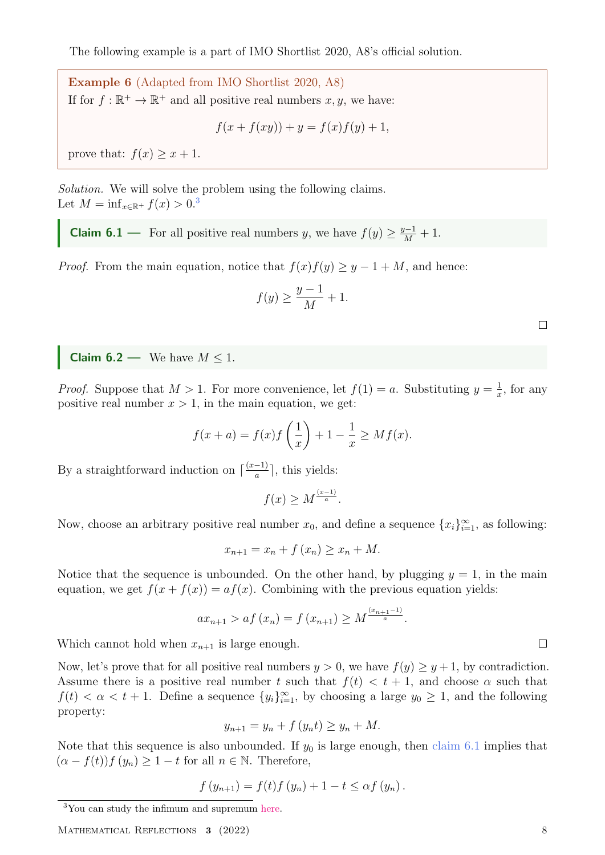The following example is a part of IMO Shortlist 2020, A8's official solution.

Example 6 (Adapted from IMO Shortlist 2020, A8) If for  $f : \mathbb{R}^+ \to \mathbb{R}^+$  and all positive real numbers  $x, y$ , we have:

$$
f(x + f(xy)) + y = f(x)f(y) + 1,
$$

prove that:  $f(x) \geq x + 1$ .

Solution. We will solve the problem using the following claims. Let  $M = \inf_{x \in \mathbb{R}^+} f(x) > 0.3$  $M = \inf_{x \in \mathbb{R}^+} f(x) > 0.3$ 

<span id="page-7-1"></span>**Claim 6.1** — For all positive real numbers y, we have  $f(y) \geq \frac{y-1}{M} + 1$ .

*Proof.* From the main equation, notice that  $f(x)f(y) \geq y - 1 + M$ , and hence:

$$
f(y) \ge \frac{y-1}{M} + 1.
$$

**Claim 6.2** — We have  $M \leq 1$ .

*Proof.* Suppose that  $M > 1$ . For more convenience, let  $f(1) = a$ . Substituting  $y = \frac{1}{x}$  $\frac{1}{x}$ , for any positive real number  $x > 1$ , in the main equation, we get:

$$
f(x+a) = f(x)f\left(\frac{1}{x}\right) + 1 - \frac{1}{x} \ge Mf(x).
$$

By a straightforward induction on  $\lceil \frac{(x-1)}{a} \rceil$  $\frac{-1}{a}$ , this yields:

$$
f(x) \ge M^{\frac{(x-1)}{a}}.
$$

Now, choose an arbitrary positive real number  $x_0$ , and define a sequence  $\{x_i\}_{i=1}^{\infty}$ , as following:

$$
x_{n+1} = x_n + f(x_n) \ge x_n + M.
$$

Notice that the sequence is unbounded. On the other hand, by plugging  $y = 1$ , in the main equation, we get  $f(x + f(x)) = af(x)$ . Combining with the previous equation yields:

$$
ax_{n+1} > af(x_n) = f(x_{n+1}) \ge M^{\frac{(x_{n+1}-1)}{a}}
$$
.

Which cannot hold when  $x_{n+1}$  is large enough.

Now, let's prove that for all positive real numbers  $y > 0$ , we have  $f(y) \ge y + 1$ , by contradiction. Assume there is a positive real number t such that  $f(t) < t + 1$ , and choose  $\alpha$  such that  $f(t) < \alpha < t + 1$ . Define a sequence  $\{y_i\}_{i=1}^{\infty}$ , by choosing a large  $y_0 \geq 1$ , and the following property:

$$
y_{n+1} = y_n + f(y_n t) \ge y_n + M.
$$

Note that this sequence is also unbounded. If  $y_0$  is large enough, then [claim 6.1](#page-7-1) implies that  $(\alpha - f(t))f(y_n) \geq 1 - t$  for all  $n \in \mathbb{N}$ . Therefore,

$$
f(y_{n+1}) = f(t)f(y_n) + 1 - t \leq \alpha f(y_n).
$$

<span id="page-7-0"></span><sup>3</sup>You can study the infimum and supremum [here.]( https://brilliant.org/wiki/infimium/)

MATHEMATICAL REFLECTIONS 3 (2022) 8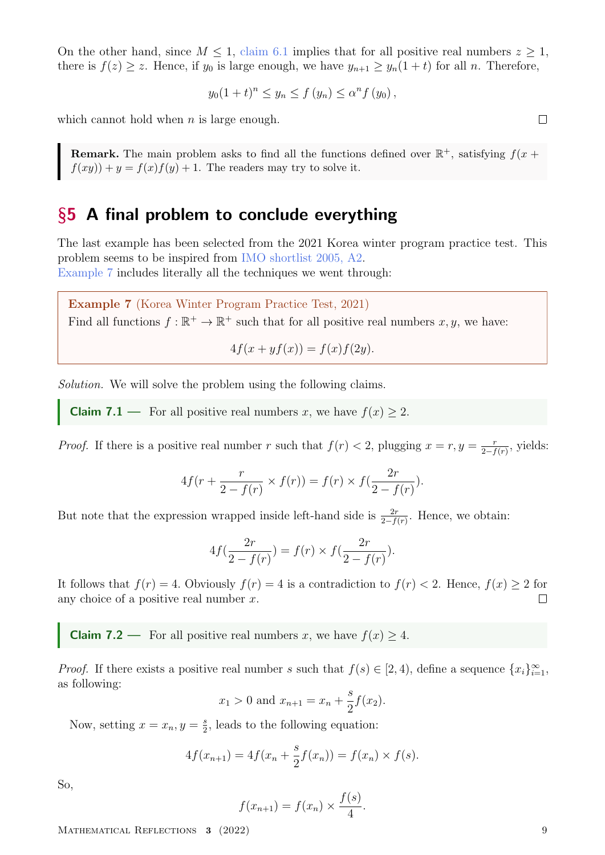On the other hand, since  $M \leq 1$ , [claim 6.1](#page-7-1) implies that for all positive real numbers  $z \geq 1$ , there is  $f(z) \geq z$ . Hence, if  $y_0$  is large enough, we have  $y_{n+1} \geq y_n(1+t)$  for all n. Therefore,

$$
y_0(1+t)^n \le y_n \le f(y_n) \le \alpha^n f(y_0),
$$

which cannot hold when  $n$  is large enough.

**Remark.** The main problem asks to find all the functions defined over  $\mathbb{R}^+$ , satisfying  $f(x +$  $f(xy) + y = f(x)f(y) + 1$ . The readers may try to solve it.

### <span id="page-8-0"></span>§5 A final problem to conclude everything

The last example has been selected from the 2021 Korea winter program practice test. This problem seems to be inspired from [IMO shortlist 2005, A2.](#page-10-3) [Example 7](#page-8-1) includes literally all the techniques we went through:

<span id="page-8-1"></span>Example 7 (Korea Winter Program Practice Test, 2021) Find all functions  $f : \mathbb{R}^+ \to \mathbb{R}^+$  such that for all positive real numbers  $x, y$ , we have:

 $4f(x + yf(x)) = f(x)f(2y).$ 

Solution. We will solve the problem using the following claims.

**Claim 7.1** — For all positive real numbers x, we have  $f(x) \ge 2$ .

*Proof.* If there is a positive real number r such that  $f(r) < 2$ , plugging  $x = r, y = \frac{r}{2}$  $\frac{r}{2-f(r)}$ , yields:

$$
4f(r + \frac{r}{2 - f(r)} \times f(r)) = f(r) \times f(\frac{2r}{2 - f(r)}).
$$

But note that the expression wrapped inside left-hand side is  $\frac{2r}{2-f(r)}$ . Hence, we obtain:

$$
4f(\frac{2r}{2 - f(r)}) = f(r) \times f(\frac{2r}{2 - f(r)}).
$$

It follows that  $f(r) = 4$ . Obviously  $f(r) = 4$  is a contradiction to  $f(r) < 2$ . Hence,  $f(x) \ge 2$  for any choice of a positive real number  $x$ .  $\Box$ 

<span id="page-8-2"></span>**Claim 7.2** — For all positive real numbers x, we have  $f(x) \geq 4$ .

*Proof.* If there exists a positive real number s such that  $f(s) \in [2, 4)$ , define a sequence  $\{x_i\}_{i=1}^{\infty}$ , as following:

$$
x_1 > 0
$$
 and  $x_{n+1} = x_n + \frac{s}{2}f(x_2)$ .

Now, setting  $x = x_n, y = \frac{s}{2}$  $\frac{s}{2}$ , leads to the following equation:

$$
4f(x_{n+1}) = 4f(x_n + \frac{s}{2}f(x_n)) = f(x_n) \times f(s).
$$

So,

$$
f(x_{n+1}) = f(x_n) \times \frac{f(s)}{4}.
$$

MATHEMATICAL REFLECTIONS 3 (2022) 9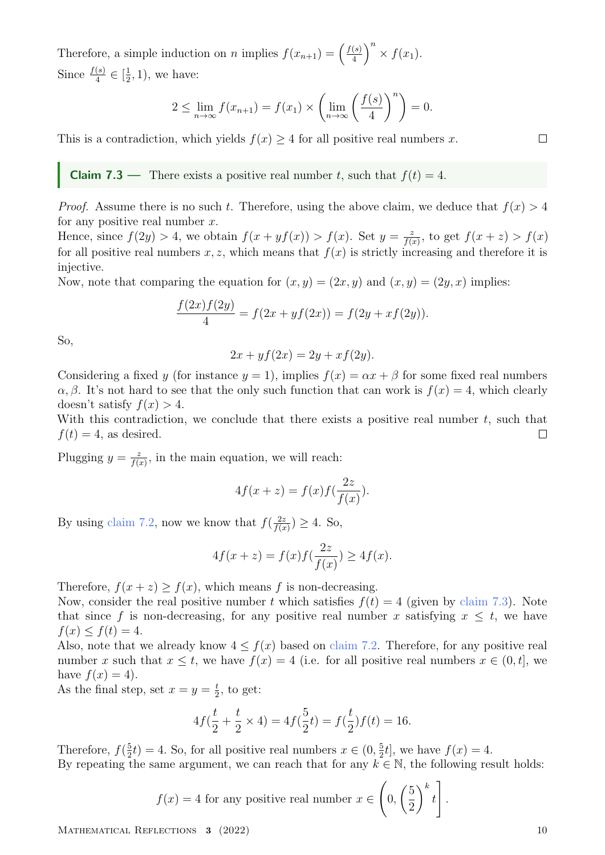Therefore, a simple induction on *n* implies  $f(x_{n+1}) = \frac{f(s)}{4}$  $\frac{(s)}{4}$   $\Big)^n$   $\times$   $f(x_1)$ . Since  $\frac{f(s)}{4} \in \left[\frac{1}{2}\right]$  $(\frac{1}{2}, 1)$ , we have:

$$
2 \le \lim_{n \to \infty} f(x_{n+1}) = f(x_1) \times \left(\lim_{n \to \infty} \left(\frac{f(s)}{4}\right)^n\right) = 0.
$$

This is a contradiction, which yields  $f(x) \geq 4$  for all positive real numbers x.

<span id="page-9-0"></span>**Claim 7.3** — There exists a positive real number t, such that  $f(t) = 4$ .

*Proof.* Assume there is no such t. Therefore, using the above claim, we deduce that  $f(x) > 4$ for any positive real number  $x$ .

Hence, since  $f(2y) > 4$ , we obtain  $f(x + yf(x)) > f(x)$ . Set  $y = \frac{z}{f(x)}$  $\frac{z}{f(x)}$ , to get  $f(x+z) > f(x)$ for all positive real numbers x, z, which means that  $f(x)$  is strictly increasing and therefore it is injective.

Now, note that comparing the equation for  $(x, y) = (2x, y)$  and  $(x, y) = (2y, x)$  implies:

$$
\frac{f(2x)f(2y)}{4} = f(2x + yf(2x)) = f(2y + xf(2y)).
$$

So,

$$
2x + yf(2x) = 2y + xf(2y).
$$

Considering a fixed y (for instance  $y = 1$ ), implies  $f(x) = \alpha x + \beta$  for some fixed real numbers  $\alpha, \beta$ . It's not hard to see that the only such function that can work is  $f(x) = 4$ , which clearly doesn't satisfy  $f(x) > 4$ .

With this contradiction, we conclude that there exists a positive real number  $t$ , such that  $f(t) = 4$ , as desired.  $\Box$ 

Plugging  $y = \frac{z}{f(x)}$  $\frac{z}{f(x)}$ , in the main equation, we will reach:

$$
4f(x+z) = f(x)f(\frac{2z}{f(x)}).
$$

By using [claim 7.2,](#page-8-2) now we know that  $f(\frac{2z}{\sqrt{a}})$  $\frac{2z}{f(x)} \geq 4$ . So,

$$
4f(x+z) = f(x)f(\frac{2z}{f(x)}) \ge 4f(x).
$$

Therefore,  $f(x + z) > f(x)$ , which means f is non-decreasing.

Now, consider the real positive number t which satisfies  $f(t) = 4$  (given by [claim 7.3\)](#page-9-0). Note that since f is non-decreasing, for any positive real number x satisfying  $x \leq t$ , we have  $f(x) \le f(t) = 4.$ 

Also, note that we already know  $4 \le f(x)$  based on [claim 7.2.](#page-8-2) Therefore, for any positive real number x such that  $x \le t$ , we have  $f(x) = 4$  (i.e. for all positive real numbers  $x \in (0, t]$ , we have  $f(x) = 4$ .

As the final step, set  $x=y=\frac{t}{2}$  $\frac{t}{2}$ , to get:

$$
4f(\frac{t}{2} + \frac{t}{2} \times 4) = 4f(\frac{5}{2}t) = f(\frac{t}{2})f(t) = 16.
$$

Therefore,  $f(\frac{5}{2})$  $(\frac{5}{2}t) = 4$ . So, for all positive real numbers  $x \in (0, \frac{5}{2})$  $\frac{5}{2}t$ , we have  $f(x) = 4$ . By repeating the same argument, we can reach that for any  $k \in \mathbb{N}$ , the following result holds:

$$
f(x) = 4
$$
 for any positive real number  $x \in \left(0, \left(\frac{5}{2}\right)^k t\right]$ 

 $M$ ATHEMATICAL REFLECTIONS 3 (2022) 10

.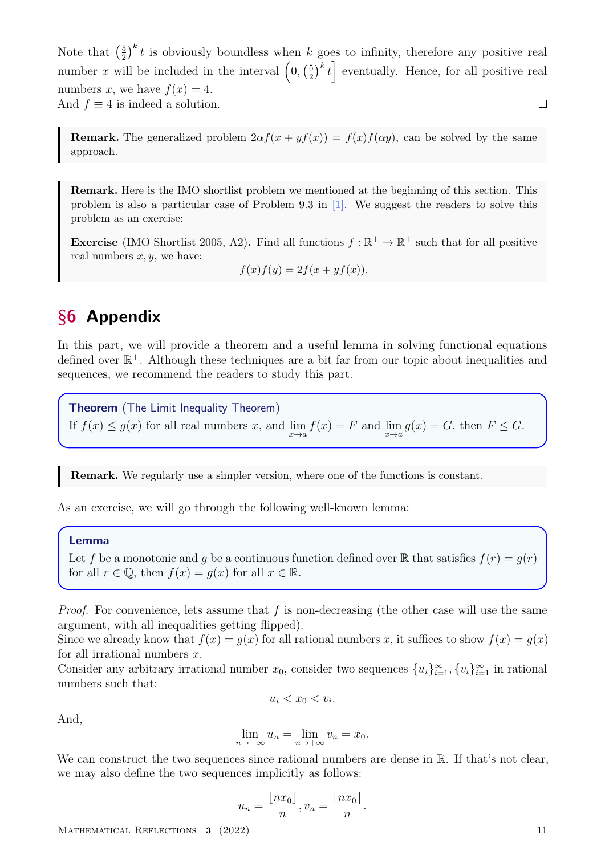$(\frac{5}{2})^k t$  is obviously boundless when k goes to infinity, therefore any positive real Note that  $\left(\frac{5}{2}\right)$ number x will be included in the interval  $(0, (\frac{5}{2})$  $\left(\frac{5}{2}\right)^k t$  eventually. Hence, for all positive real numbers x, we have  $f(x) = 4$ . And  $f \equiv 4$  is indeed a solution.  $\Box$ 

**Remark.** The generalized problem  $2\alpha f(x + yf(x)) = f(x)f(\alpha y)$ , can be solved by the same approach.

Remark. Here is the IMO shortlist problem we mentioned at the beginning of this section. This problem is also a particular case of Problem 9.3 in [\[1\].](#page-11-0) We suggest the readers to solve this problem as an exercise:

<span id="page-10-3"></span>**Exercise** (IMO Shortlist 2005, A2). Find all functions  $f : \mathbb{R}^+ \to \mathbb{R}^+$  such that for all positive real numbers  $x, y$ , we have:

$$
f(x)f(y) = 2f(x + yf(x)).
$$

# <span id="page-10-0"></span>§6 Appendix

<span id="page-10-1"></span>In this part, we will provide a theorem and a useful lemma in solving functional equations defined over  $\mathbb{R}^+$ . Although these techniques are a bit far from our topic about inequalities and sequences, we recommend the readers to study this part.

<span id="page-10-2"></span>**Theorem** (The Limit Inequality Theorem)

If  $f(x) \le g(x)$  for all real numbers x, and  $\lim_{x \to a} f(x) = F$  and  $\lim_{x \to a} g(x) = G$ , then  $F \le G$ .

Remark. We regularly use a simpler version, where one of the functions is constant.

As an exercise, we will go through the following well-known lemma:

#### Lemma

Let f be a monotonic and g be a continuous function defined over R that satisfies  $f(r) = g(r)$ for all  $r \in \mathbb{Q}$ , then  $f(x) = g(x)$  for all  $x \in \mathbb{R}$ .

*Proof.* For convenience, lets assume that  $f$  is non-decreasing (the other case will use the same argument, with all inequalities getting flipped).

Since we already know that  $f(x) = g(x)$  for all rational numbers x, it suffices to show  $f(x) = g(x)$ for all irrational numbers  $x$ .

Consider any arbitrary irrational number  $x_0$ , consider two sequences  $\{u_i\}_{i=1}^{\infty}, \{v_i\}_{i=1}^{\infty}$  in rational numbers such that:

$$
u_i < x_0 < v_i.
$$

And,

$$
\lim_{n \to +\infty} u_n = \lim_{n \to +\infty} v_n = x_0.
$$

We can construct the two sequences since rational numbers are dense in R. If that's not clear, we may also define the two sequences implicitly as follows:

$$
u_n = \frac{\lfloor nx_0 \rfloor}{n}, v_n = \frac{\lceil nx_0 \rceil}{n}.
$$

MATHEMATICAL REFLECTIONS 3 (2022) 11